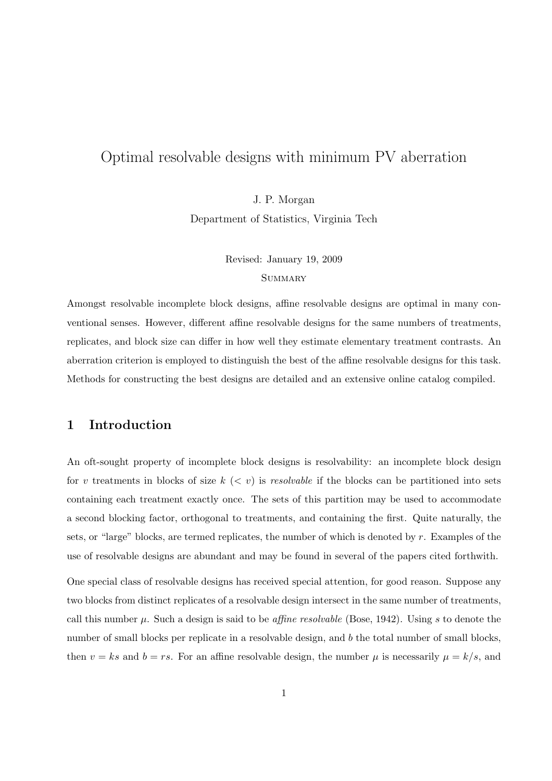# Optimal resolvable designs with minimum PV aberration

J. P. Morgan Department of Statistics, Virginia Tech

> Revised: January 19, 2009 **SUMMARY**

Amongst resolvable incomplete block designs, affine resolvable designs are optimal in many conventional senses. However, different affine resolvable designs for the same numbers of treatments, replicates, and block size can differ in how well they estimate elementary treatment contrasts. An aberration criterion is employed to distinguish the best of the affine resolvable designs for this task. Methods for constructing the best designs are detailed and an extensive online catalog compiled.

# 1 Introduction

An oft-sought property of incomplete block designs is resolvability: an incomplete block design for v treatments in blocks of size  $k \leq v$  is resolvable if the blocks can be partitioned into sets containing each treatment exactly once. The sets of this partition may be used to accommodate a second blocking factor, orthogonal to treatments, and containing the first. Quite naturally, the sets, or "large" blocks, are termed replicates, the number of which is denoted by  $r$ . Examples of the use of resolvable designs are abundant and may be found in several of the papers cited forthwith.

One special class of resolvable designs has received special attention, for good reason. Suppose any two blocks from distinct replicates of a resolvable design intersect in the same number of treatments, call this number  $\mu$ . Such a design is said to be *affine resolvable* (Bose, 1942). Using s to denote the number of small blocks per replicate in a resolvable design, and b the total number of small blocks, then  $v = ks$  and  $b = rs$ . For an affine resolvable design, the number  $\mu$  is necessarily  $\mu = k/s$ , and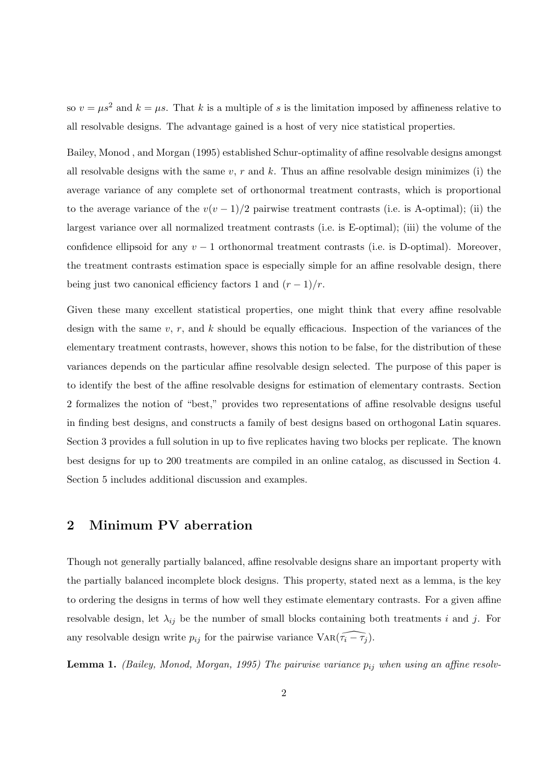so  $v = \mu s^2$  and  $k = \mu s$ . That k is a multiple of s is the limitation imposed by affineness relative to all resolvable designs. The advantage gained is a host of very nice statistical properties.

Bailey, Monod , and Morgan (1995) established Schur-optimality of affine resolvable designs amongst all resolvable designs with the same  $v, r$  and k. Thus an affine resolvable design minimizes (i) the average variance of any complete set of orthonormal treatment contrasts, which is proportional to the average variance of the  $v(v-1)/2$  pairwise treatment contrasts (i.e. is A-optimal); (ii) the largest variance over all normalized treatment contrasts (i.e. is E-optimal); (iii) the volume of the confidence ellipsoid for any  $v-1$  orthonormal treatment contrasts (i.e. is D-optimal). Moreover, the treatment contrasts estimation space is especially simple for an affine resolvable design, there being just two canonical efficiency factors 1 and  $(r-1)/r$ .

Given these many excellent statistical properties, one might think that every affine resolvable design with the same  $v, r$ , and  $k$  should be equally efficacious. Inspection of the variances of the elementary treatment contrasts, however, shows this notion to be false, for the distribution of these variances depends on the particular affine resolvable design selected. The purpose of this paper is to identify the best of the affine resolvable designs for estimation of elementary contrasts. Section 2 formalizes the notion of "best," provides two representations of affine resolvable designs useful in finding best designs, and constructs a family of best designs based on orthogonal Latin squares. Section 3 provides a full solution in up to five replicates having two blocks per replicate. The known best designs for up to 200 treatments are compiled in an online catalog, as discussed in Section 4. Section 5 includes additional discussion and examples.

# 2 Minimum PV aberration

Though not generally partially balanced, affine resolvable designs share an important property with the partially balanced incomplete block designs. This property, stated next as a lemma, is the key to ordering the designs in terms of how well they estimate elementary contrasts. For a given affine resolvable design, let  $\lambda_{ij}$  be the number of small blocks containing both treatments i and j. For any resolvable design write  $p_{ij}$  for the pairwise variance  $\text{Var}(\widetilde{\tau_i} - \widetilde{\tau_j})$ .

**Lemma 1.** (Bailey, Monod, Morgan, 1995) The pairwise variance  $p_{ij}$  when using an affine resolv-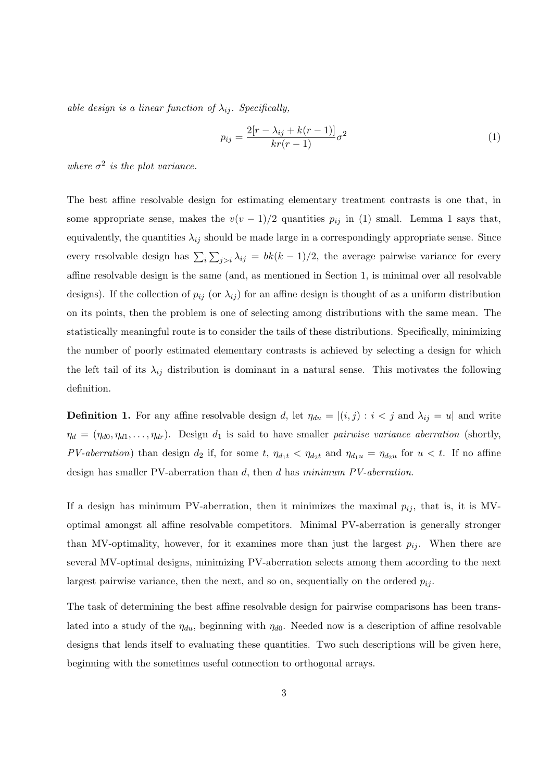able design is a linear function of  $\lambda_{ij}$ . Specifically,

$$
p_{ij} = \frac{2[r - \lambda_{ij} + k(r - 1)]}{kr(r - 1)} \sigma^2
$$
\n(1)

where  $\sigma^2$  is the plot variance.

The best affine resolvable design for estimating elementary treatment contrasts is one that, in some appropriate sense, makes the  $v(v-1)/2$  quantities  $p_{ij}$  in (1) small. Lemma 1 says that, equivalently, the quantities  $\lambda_{ij}$  should be made large in a correspondingly appropriate sense. Since every resolvable design has  $\sum_i$  $\overline{ }$  $j>i \lambda_{ij} = bk(k-1)/2$ , the average pairwise variance for every affine resolvable design is the same (and, as mentioned in Section 1, is minimal over all resolvable designs). If the collection of  $p_{ij}$  (or  $\lambda_{ij}$ ) for an affine design is thought of as a uniform distribution on its points, then the problem is one of selecting among distributions with the same mean. The statistically meaningful route is to consider the tails of these distributions. Specifically, minimizing the number of poorly estimated elementary contrasts is achieved by selecting a design for which the left tail of its  $\lambda_{ij}$  distribution is dominant in a natural sense. This motivates the following definition.

**Definition 1.** For any affine resolvable design d, let  $\eta_{du} = |(i, j) : i < j$  and  $\lambda_{ij} = u|$  and write  $\eta_d = (\eta_{d0}, \eta_{d1}, \dots, \eta_{dr})$ . Design  $d_1$  is said to have smaller *pairwise variance aberration* (shortly, PV-aberration) than design  $d_2$  if, for some t,  $\eta_{d_1t} < \eta_{d_2t}$  and  $\eta_{d_1u} = \eta_{d_2u}$  for  $u < t$ . If no affine design has smaller PV-aberration than d, then d has minimum PV-aberration.

If a design has minimum PV-aberration, then it minimizes the maximal  $p_{ij}$ , that is, it is MVoptimal amongst all affine resolvable competitors. Minimal PV-aberration is generally stronger than MV-optimality, however, for it examines more than just the largest  $p_{ij}$ . When there are several MV-optimal designs, minimizing PV-aberration selects among them according to the next largest pairwise variance, then the next, and so on, sequentially on the ordered  $p_{ij}$ .

The task of determining the best affine resolvable design for pairwise comparisons has been translated into a study of the  $\eta_{du}$ , beginning with  $\eta_{d0}$ . Needed now is a description of affine resolvable designs that lends itself to evaluating these quantities. Two such descriptions will be given here, beginning with the sometimes useful connection to orthogonal arrays.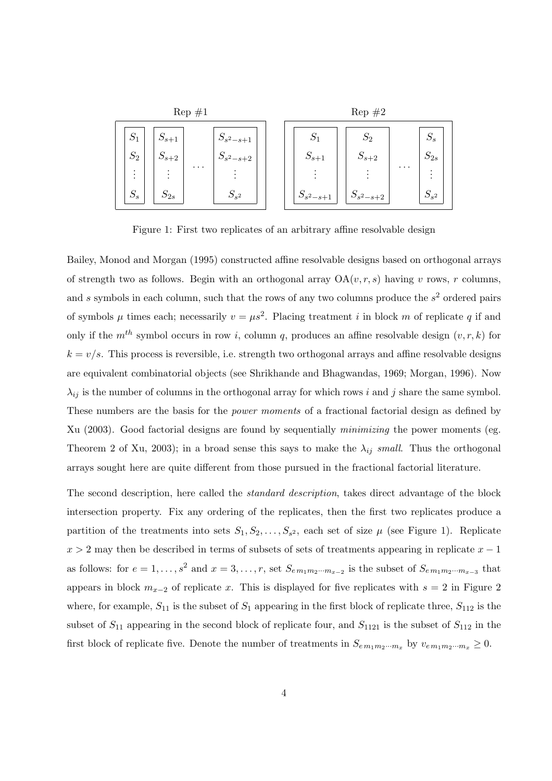

Figure 1: First two replicates of an arbitrary affine resolvable design

Bailey, Monod and Morgan (1995) constructed affine resolvable designs based on orthogonal arrays of strength two as follows. Begin with an orthogonal array  $OA(v, r, s)$  having v rows, r columns, and s symbols in each column, such that the rows of any two columns produce the  $s<sup>2</sup>$  ordered pairs of symbols  $\mu$  times each; necessarily  $v = \mu s^2$ . Placing treatment i in block m of replicate q if and only if the  $m^{th}$  symbol occurs in row *i*, column *q*, produces an affine resolvable design  $(v, r, k)$  for  $k = v/s$ . This process is reversible, i.e. strength two orthogonal arrays and affine resolvable designs are equivalent combinatorial objects (see Shrikhande and Bhagwandas, 1969; Morgan, 1996). Now  $\lambda_{ij}$  is the number of columns in the orthogonal array for which rows i and j share the same symbol. These numbers are the basis for the *power moments* of a fractional factorial design as defined by Xu (2003). Good factorial designs are found by sequentially minimizing the power moments (eg. Theorem 2 of Xu, 2003); in a broad sense this says to make the  $\lambda_{ij}$  small. Thus the orthogonal arrays sought here are quite different from those pursued in the fractional factorial literature.

The second description, here called the standard description, takes direct advantage of the block intersection property. Fix any ordering of the replicates, then the first two replicates produce a partition of the treatments into sets  $S_1, S_2, \ldots, S_{s^2}$ , each set of size  $\mu$  (see Figure 1). Replicate  $x > 2$  may then be described in terms of subsets of sets of treatments appearing in replicate  $x - 1$ as follows: for  $e = 1, \ldots, s^2$  and  $x = 3, \ldots, r$ , set  $S_{em_1m_2\cdots m_{x-2}}$  is the subset of  $S_{em_1m_2\cdots m_{x-3}}$  that appears in block  $m_{x-2}$  of replicate x. This is displayed for five replicates with  $s = 2$  in Figure 2 where, for example,  $S_{11}$  is the subset of  $S_1$  appearing in the first block of replicate three,  $S_{112}$  is the subset of  $S_{11}$  appearing in the second block of replicate four, and  $S_{1121}$  is the subset of  $S_{112}$  in the first block of replicate five. Denote the number of treatments in  $S_{em_1m_2\cdots m_x}$  by  $v_{em_1m_2\cdots m_x} \geq 0$ .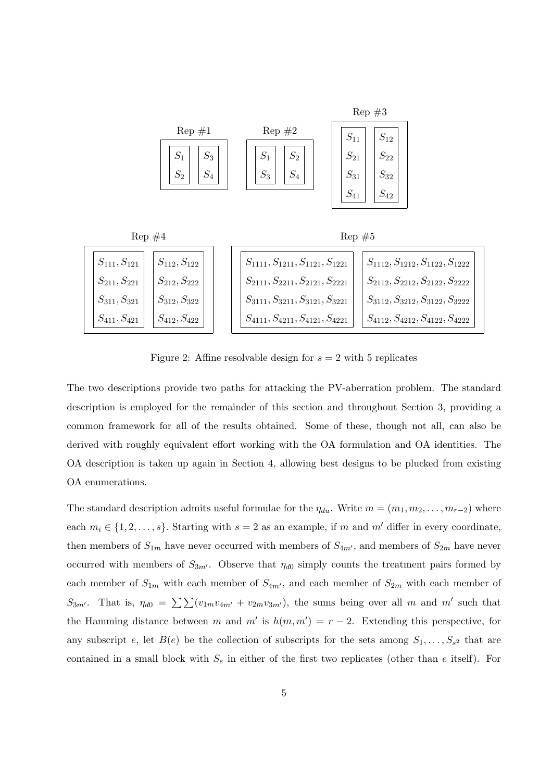

Figure 2: Affine resolvable design for  $s = 2$  with 5 replicates

The two descriptions provide two paths for attacking the PV-aberration problem. The standard description is employed for the remainder of this section and throughout Section 3, providing a common framework for all of the results obtained. Some of these, though not all, can also be derived with roughly equivalent effort working with the OA formulation and OA identities. The OA description is taken up again in Section 4, allowing best designs to be plucked from existing OA enumerations.

The standard description admits useful formulae for the  $\eta_{du}$ . Write  $m = (m_1, m_2, \ldots, m_{r-2})$  where each  $m_i \in \{1, 2, \ldots, s\}$ . Starting with  $s = 2$  as an example, if m and m' differ in every coordinate, then members of  $S_{1m}$  have never occurred with members of  $S_{4m'}$ , and members of  $S_{2m}$  have never occurred with members of  $S_{3m'}$ . Observe that  $\eta_{d0}$  simply counts the treatment pairs formed by each member of  $S_{1m}$  with each member of  $S_{4m'}$ , and each member of  $S_{2m}$  with each member of  $S_{3m'}$ . That is,  $\eta_{d0} = \sum \sum (v_{1m}v_{4m'} + v_{2m}v_{3m'})$ , the sums being over all m and m' such that the Hamming distance between m and m' is  $h(m, m') = r - 2$ . Extending this perspective, for any subscript e, let  $B(e)$  be the collection of subscripts for the sets among  $S_1, \ldots, S_{s^2}$  that are contained in a small block with  $S_e$  in either of the first two replicates (other than e itself). For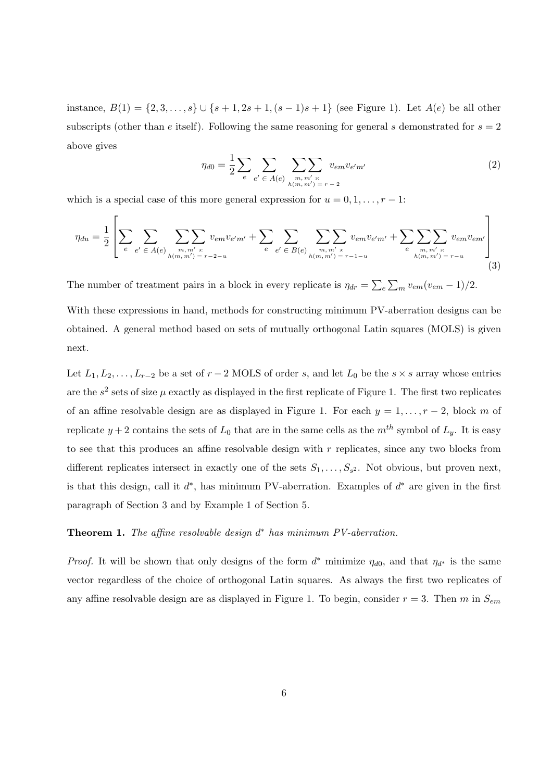instance,  $B(1) = \{2, 3, ..., s\} \cup \{s + 1, 2s + 1, (s - 1)s + 1\}$  (see Figure 1). Let  $A(e)$  be all other subscripts (other than e itself). Following the same reasoning for general s demonstrated for  $s = 2$ above gives

$$
\eta_{d0} = \frac{1}{2} \sum_{e} \sum_{e'} \sum_{\in A(e)} \sum_{\substack{m, m' > : \\ h(m, m') = r - 2}} v_{em} v_{e'm'} \tag{2}
$$

which is a special case of this more general expression for  $u = 0, 1, \ldots, r - 1$ :

$$
\eta_{du} = \frac{1}{2} \left[ \sum_{e} \sum_{e'} \sum_{e' \in A(e)} \sum_{\substack{m, m' \ s: \\ h(m, m') = r - 2 - u}} v_{em} v_{e'm'} + \sum_{e} \sum_{e'} \sum_{e'} \sum_{\substack{e \\ h(m, m') = r - 1 - u}} v_{em} v_{e'm'} + \sum_{e} \sum_{\substack{m, m' \ s: \\ h(m, m') = r - u}} v_{em} v_{em'} \right] \tag{3}
$$

The number of treatment pairs in a block in every replicate is  $\eta_{dr} =$  $\overline{ }$ e  $\overline{ }$  $\frac{1}{m} v_{em}(v_{em}-1)/2.$ 

With these expressions in hand, methods for constructing minimum PV-aberration designs can be obtained. A general method based on sets of mutually orthogonal Latin squares (MOLS) is given next.

Let  $L_1, L_2, \ldots, L_{r-2}$  be a set of  $r-2$  MOLS of order s, and let  $L_0$  be the s × s array whose entries are the  $s^2$  sets of size  $\mu$  exactly as displayed in the first replicate of Figure 1. The first two replicates of an affine resolvable design are as displayed in Figure 1. For each  $y = 1, \ldots, r - 2$ , block m of replicate  $y + 2$  contains the sets of  $L_0$  that are in the same cells as the  $m<sup>th</sup>$  symbol of  $L_y$ . It is easy to see that this produces an affine resolvable design with  $r$  replicates, since any two blocks from different replicates intersect in exactly one of the sets  $S_1, \ldots, S_{s^2}$ . Not obvious, but proven next, is that this design, call it  $d^*$ , has minimum PV-aberration. Examples of  $d^*$  are given in the first paragraph of Section 3 and by Example 1 of Section 5.

#### **Theorem 1.** The affine resolvable design  $d^*$  has minimum PV-aberration.

*Proof.* It will be shown that only designs of the form  $d^*$  minimize  $\eta_{d0}$ , and that  $\eta_{d^*}$  is the same vector regardless of the choice of orthogonal Latin squares. As always the first two replicates of any affine resolvable design are as displayed in Figure 1. To begin, consider  $r = 3$ . Then m in  $S_{em}$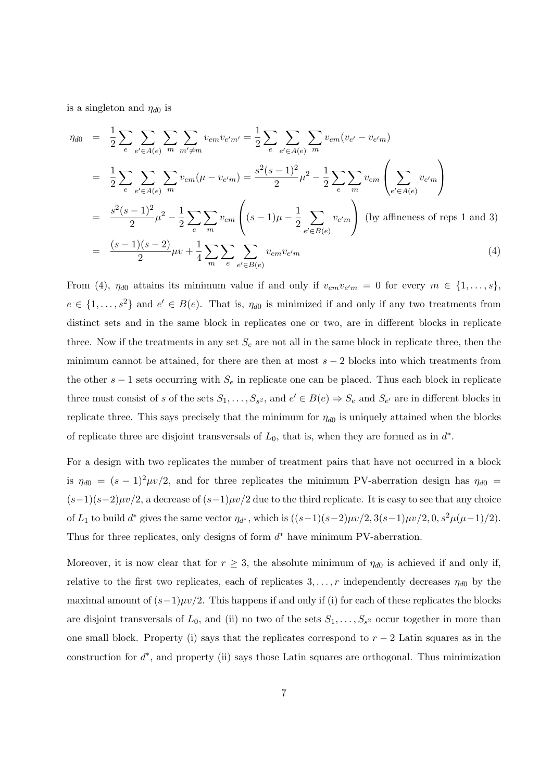is a singleton and  $\eta_{d0}$  is

$$
\eta_{d0} = \frac{1}{2} \sum_{e} \sum_{e' \in A(e)} \sum_{m} \sum_{m' \neq m} v_{em} v_{e'm'} = \frac{1}{2} \sum_{e} \sum_{e' \in A(e)} \sum_{m} v_{em} (v_{e'} - v_{e'm})
$$
\n
$$
= \frac{1}{2} \sum_{e} \sum_{e' \in A(e)} \sum_{m} v_{em} (\mu - v_{e'm}) = \frac{s^2 (s - 1)^2}{2} \mu^2 - \frac{1}{2} \sum_{e} \sum_{m} v_{em} \left( \sum_{e' \in A(e)} v_{e'm} \right)
$$
\n
$$
= \frac{s^2 (s - 1)^2}{2} \mu^2 - \frac{1}{2} \sum_{e} \sum_{m} v_{em} \left( (s - 1)\mu - \frac{1}{2} \sum_{e' \in B(e)} v_{e'm} \right) \text{ (by affineness of reps 1 and 3)}
$$
\n
$$
= \frac{(s - 1)(s - 2)}{2} \mu v + \frac{1}{4} \sum_{m} \sum_{e} \sum_{e' \in B(e)} v_{em} v_{e'm} \qquad (4)
$$

From (4),  $\eta_{d0}$  attains its minimum value if and only if  $v_{em}v_{e'm} = 0$  for every  $m \in \{1, \ldots, s\}$ ,  $e \in \{1, \ldots, s^2\}$  and  $e' \in B(e)$ . That is,  $\eta_{d0}$  is minimized if and only if any two treatments from distinct sets and in the same block in replicates one or two, are in different blocks in replicate three. Now if the treatments in any set  $S_e$  are not all in the same block in replicate three, then the minimum cannot be attained, for there are then at most  $s - 2$  blocks into which treatments from the other  $s - 1$  sets occurring with  $S_e$  in replicate one can be placed. Thus each block in replicate three must consist of s of the sets  $S_1, \ldots, S_{s^2}$ , and  $e' \in B(e) \Rightarrow S_e$  and  $S_{e'}$  are in different blocks in replicate three. This says precisely that the minimum for  $\eta_{d0}$  is uniquely attained when the blocks of replicate three are disjoint transversals of  $L_0$ , that is, when they are formed as in  $d^*$ .

For a design with two replicates the number of treatment pairs that have not occurred in a block is  $\eta_{d0} = (s-1)^2 \mu v/2$ , and for three replicates the minimum PV-aberration design has  $\eta_{d0} =$  $(s-1)(s-2)\mu v/2$ , a decrease of  $(s-1)\mu v/2$  due to the third replicate. It is easy to see that any choice of  $L_1$  to build  $d^*$  gives the same vector  $\eta_{d^*}$ , which is  $((s-1)(s-2)\mu v/2, 3(s-1)\mu v/2, 0, s^2\mu(\mu-1)/2)$ . Thus for three replicates, only designs of form  $d^*$  have minimum PV-aberration.

Moreover, it is now clear that for  $r \geq 3$ , the absolute minimum of  $\eta_{d0}$  is achieved if and only if, relative to the first two replicates, each of replicates  $3, \ldots, r$  independently decreases  $\eta_{d0}$  by the maximal amount of  $(s-1)\mu v/2$ . This happens if and only if (i) for each of these replicates the blocks are disjoint transversals of  $L_0$ , and (ii) no two of the sets  $S_1, \ldots, S_{s^2}$  occur together in more than one small block. Property (i) says that the replicates correspond to  $r-2$  Latin squares as in the construction for  $d^*$ , and property (ii) says those Latin squares are orthogonal. Thus minimization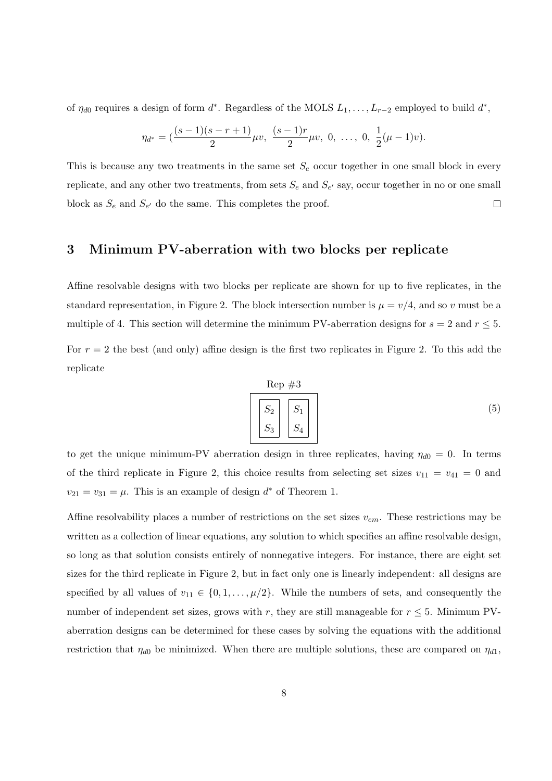of  $\eta_{d0}$  requires a design of form  $d^*$ . Regardless of the MOLS  $L_1, \ldots, L_{r-2}$  employed to build  $d^*$ ,

$$
\eta_{d^*} = \left(\frac{(s-1)(s-r+1)}{2}\mu v, \ \frac{(s-1)r}{2}\mu v, \ 0, \ \ldots, \ 0, \ \frac{1}{2}(\mu-1)v\right).
$$

This is because any two treatments in the same set  $S_e$  occur together in one small block in every replicate, and any other two treatments, from sets  $S_e$  and  $S_{e'}$  say, occur together in no or one small block as  $S_e$  and  $S_{e'}$  do the same. This completes the proof.  $\Box$ 

## 3 Minimum PV-aberration with two blocks per replicate

Affine resolvable designs with two blocks per replicate are shown for up to five replicates, in the standard representation, in Figure 2. The block intersection number is  $\mu = v/4$ , and so v must be a multiple of 4. This section will determine the minimum PV-aberration designs for  $s = 2$  and  $r \leq 5$ . For  $r = 2$  the best (and only) affine design is the first two replicates in Figure 2. To this add the replicate

$$
\begin{array}{|c|c|}\n\hline\n\text{Rep} \#3 \\
\hline\nS_2 & S_1 \\
S_3 & S_4\n\end{array}\n\tag{5}
$$

to get the unique minimum-PV aberration design in three replicates, having  $\eta_{d0} = 0$ . In terms of the third replicate in Figure 2, this choice results from selecting set sizes  $v_{11} = v_{41} = 0$  and  $v_{21} = v_{31} = \mu$ . This is an example of design  $d^*$  of Theorem 1.

Affine resolvability places a number of restrictions on the set sizes  $v_{em}$ . These restrictions may be written as a collection of linear equations, any solution to which specifies an affine resolvable design, so long as that solution consists entirely of nonnegative integers. For instance, there are eight set sizes for the third replicate in Figure 2, but in fact only one is linearly independent: all designs are specified by all values of  $v_{11} \in \{0, 1, \ldots, \mu/2\}$ . While the numbers of sets, and consequently the number of independent set sizes, grows with r, they are still manageable for  $r \leq 5$ . Minimum PVaberration designs can be determined for these cases by solving the equations with the additional restriction that  $\eta_{d0}$  be minimized. When there are multiple solutions, these are compared on  $\eta_{d1}$ ,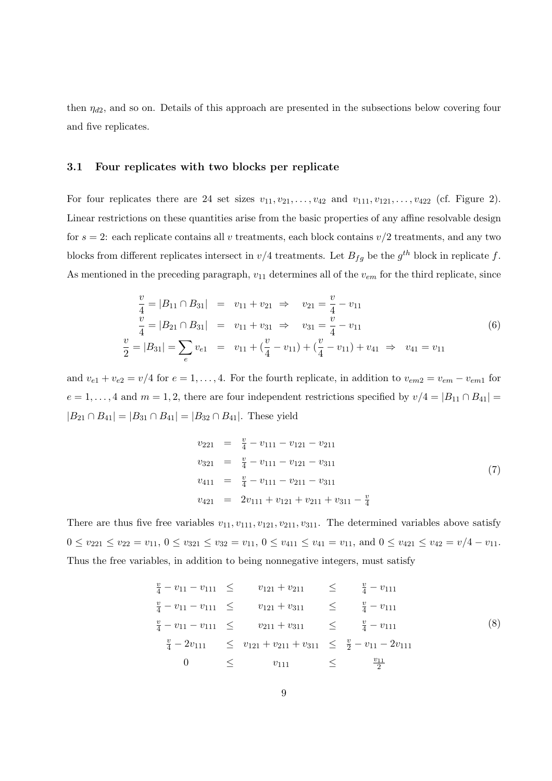then  $\eta_{d2}$ , and so on. Details of this approach are presented in the subsections below covering four and five replicates.

#### 3.1 Four replicates with two blocks per replicate

For four replicates there are 24 set sizes  $v_{11}, v_{21}, \ldots, v_{42}$  and  $v_{111}, v_{121}, \ldots, v_{422}$  (cf. Figure 2). Linear restrictions on these quantities arise from the basic properties of any affine resolvable design for  $s = 2$ : each replicate contains all v treatments, each block contains  $v/2$  treatments, and any two blocks from different replicates intersect in  $v/4$  treatments. Let  $B_{fg}$  be the  $g^{th}$  block in replicate f. As mentioned in the preceding paragraph,  $v_{11}$  determines all of the  $v_{em}$  for the third replicate, since

$$
\frac{v}{4} = |B_{11} \cap B_{31}| = v_{11} + v_{21} \Rightarrow v_{21} = \frac{v}{4} - v_{11}
$$
\n
$$
\frac{v}{4} = |B_{21} \cap B_{31}| = v_{11} + v_{31} \Rightarrow v_{31} = \frac{v}{4} - v_{11}
$$
\n
$$
\frac{v}{2} = |B_{31}| = \sum_{e} v_{e1} = v_{11} + (\frac{v}{4} - v_{11}) + (\frac{v}{4} - v_{11}) + v_{41} \Rightarrow v_{41} = v_{11}
$$
\n(6)

and  $v_{e1} + v_{e2} = v/4$  for  $e = 1, ..., 4$ . For the fourth replicate, in addition to  $v_{em2} = v_{em} - v_{em1}$  for  $e = 1, \ldots, 4$  and  $m = 1, 2$ , there are four independent restrictions specified by  $v/4 = |B_{11} \cap B_{41}|$  $|B_{21} \cap B_{41}| = |B_{31} \cap B_{41}| = |B_{32} \cap B_{41}|$ . These yield

$$
v_{221} = \frac{v}{4} - v_{111} - v_{121} - v_{211}
$$
  
\n
$$
v_{321} = \frac{v}{4} - v_{111} - v_{121} - v_{311}
$$
  
\n
$$
v_{411} = \frac{v}{4} - v_{111} - v_{211} - v_{311}
$$
  
\n
$$
v_{421} = 2v_{111} + v_{121} + v_{211} + v_{311} - \frac{v}{4}
$$
\n(7)

There are thus five free variables  $v_{11}, v_{111}, v_{121}, v_{211}, v_{311}$ . The determined variables above satisfy  $0 \le v_{221} \le v_{22} = v_{11}, 0 \le v_{321} \le v_{32} = v_{11}, 0 \le v_{411} \le v_{41} = v_{11}, \text{ and } 0 \le v_{421} \le v_{42} = v/4 - v_{11}.$ Thus the free variables, in addition to being nonnegative integers, must satisfy

$$
\frac{v}{4} - v_{11} - v_{111} \le v_{121} + v_{211} \le \frac{v}{4} - v_{111}
$$
\n
$$
\frac{v}{4} - v_{11} - v_{111} \le v_{121} + v_{311} \le \frac{v}{4} - v_{111}
$$
\n
$$
\frac{v}{4} - v_{11} - v_{111} \le v_{211} + v_{311} \le \frac{v}{4} - v_{111}
$$
\n
$$
\frac{v}{4} - 2v_{111} \le v_{121} + v_{211} + v_{311} \le \frac{v}{2} - v_{11} - 2v_{111}
$$
\n
$$
0 \le v_{111} \le \frac{v_{11}}{2}
$$
\n(8)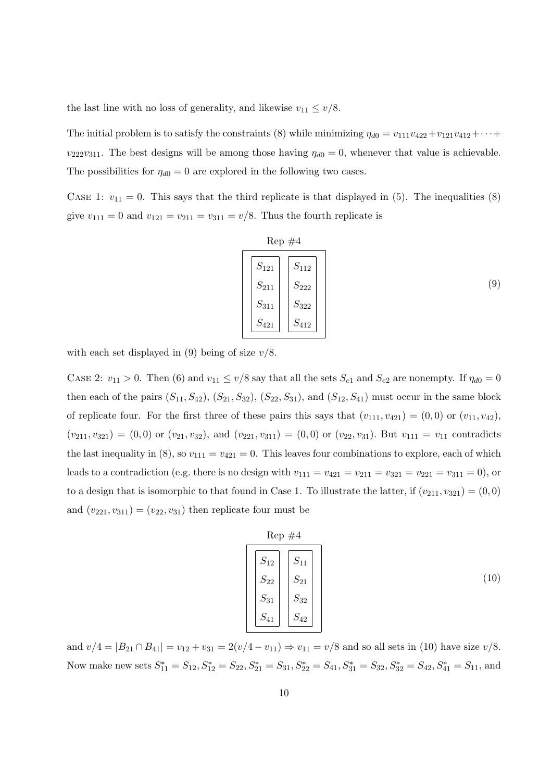the last line with no loss of generality, and likewise  $v_{11} \le v/8$ .

The initial problem is to satisfy the constraints (8) while minimizing  $\eta_{d0} = v_{111}v_{422} + v_{121}v_{412} + \cdots$  $v_{222}v_{311}$ . The best designs will be among those having  $\eta_{d0} = 0$ , whenever that value is achievable. The possibilities for  $\eta_{d0} = 0$  are explored in the following two cases.

CASE 1:  $v_{11} = 0$ . This says that the third replicate is that displayed in (5). The inequalities (8) give  $v_{111} = 0$  and  $v_{121} = v_{211} = v_{311} = v/8$ . Thus the fourth replicate is

$$
\begin{array}{|c|c|}\n\hline\n\text{Rep #4} \\
\hline\nS_{121} & S_{112} \\
S_{211} & S_{222} \\
S_{311} & S_{322} \\
S_{421} & S_{412}\n\end{array}
$$
\n(9)

with each set displayed in (9) being of size  $v/8$ .

CASE 2:  $v_{11} > 0$ . Then (6) and  $v_{11} \le v/8$  say that all the sets  $S_{e1}$  and  $S_{e2}$  are nonempty. If  $\eta_{d0} = 0$ then each of the pairs  $(S_{11}, S_{42}), (S_{21}, S_{32}), (S_{22}, S_{31}),$  and  $(S_{12}, S_{41})$  must occur in the same block of replicate four. For the first three of these pairs this says that  $(v_{111}, v_{421}) = (0, 0)$  or  $(v_{11}, v_{42})$ ,  $(v_{211}, v_{321}) = (0, 0)$  or  $(v_{21}, v_{32})$ , and  $(v_{221}, v_{311}) = (0, 0)$  or  $(v_{22}, v_{31})$ . But  $v_{111} = v_{11}$  contradicts the last inequality in (8), so  $v_{111} = v_{421} = 0$ . This leaves four combinations to explore, each of which leads to a contradiction (e.g. there is no design with  $v_{111} = v_{421} = v_{211} = v_{321} = v_{221} = v_{311} = 0$ ), or to a design that is isomorphic to that found in Case 1. To illustrate the latter, if  $(v_{211}, v_{321}) = (0, 0)$ and  $(v_{221}, v_{311}) = (v_{22}, v_{31})$  then replicate four must be

Rep #4  
\n
$$
\begin{bmatrix}\nS_{12} \\
S_{22} \\
S_{31} \\
S_{31} \\
S_{41}\n\end{bmatrix}\n\begin{bmatrix}\nS_{11} \\
S_{21} \\
S_{32} \\
S_{42}\n\end{bmatrix}
$$
\n(10)

and  $v/4 = |B_{21} \cap B_{41}| = v_{12} + v_{31} = 2(v/4 - v_{11}) \Rightarrow v_{11} = v/8$  and so all sets in (10) have size  $v/8$ . Now make new sets  $S_{11}^* = S_{12}$ ,  $S_{12}^* = S_{22}$ ,  $S_{21}^* = S_{31}$ ,  $S_{22}^* = S_{41}$ ,  $S_{31}^* = S_{32}$ ,  $S_{32}^* = S_{42}$ ,  $S_{41}^* = S_{11}$ , and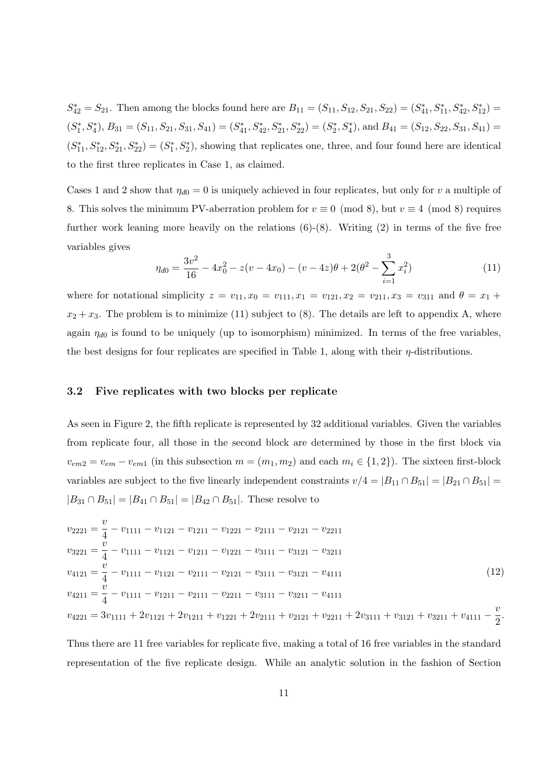$S_{42}^* = S_{21}$ . Then among the blocks found here are  $B_{11} = (S_{11}, S_{12}, S_{21}, S_{22}) = (S_{41}^*, S_{11}^*, S_{42}^*, S_{12}^*) =$  $(S_1^*, S_4^*)$ ,  $B_{31} = (S_{11}, S_{21}, S_{31}, S_{41}) = (S_{41}^*, S_{42}^*, S_{21}^*, S_{22}^*) = (S_2^*, S_4^*)$ , and  $B_{41} = (S_{12}, S_{22}, S_{31}, S_{41}) = (S_{41}, S_{41}, S_{41})$  $(S_{11}^*, S_{12}^*, S_{21}^*, S_{22}^*) = (S_1^*, S_2^*)$ , showing that replicates one, three, and four found here are identical to the first three replicates in Case 1, as claimed.

Cases 1 and 2 show that  $\eta_{d0} = 0$  is uniquely achieved in four replicates, but only for v a multiple of 8. This solves the minimum PV-aberration problem for  $v \equiv 0 \pmod{8}$ , but  $v \equiv 4 \pmod{8}$  requires further work leaning more heavily on the relations  $(6)-(8)$ . Writing  $(2)$  in terms of the five free variables gives

$$
\eta_{d0} = \frac{3v^2}{16} - 4x_0^2 - z(v - 4x_0) - (v - 4z)\theta + 2(\theta^2 - \sum_{i=1}^3 x_i^2)
$$
\n(11)

where for notational simplicity  $z = v_{11}, x_0 = v_{111}, x_1 = v_{121}, x_2 = v_{211}, x_3 = v_{311}$  and  $\theta = x_1 +$  $x_2 + x_3$ . The problem is to minimize (11) subject to (8). The details are left to appendix A, where again  $\eta_{d0}$  is found to be uniquely (up to isomorphism) minimized. In terms of the free variables, the best designs for four replicates are specified in Table 1, along with their  $\eta$ -distributions.

## 3.2 Five replicates with two blocks per replicate

As seen in Figure 2, the fifth replicate is represented by 32 additional variables. Given the variables from replicate four, all those in the second block are determined by those in the first block via  $v_{em2} = v_{em} - v_{em1}$  (in this subsection  $m = (m_1, m_2)$  and each  $m_i \in \{1, 2\}$ ). The sixteen first-block variables are subject to the five linearly independent constraints  $v/4 = |B_{11} \cap B_{51}| = |B_{21} \cap B_{51}| =$  $|B_{31} \cap B_{51}| = |B_{41} \cap B_{51}| = |B_{42} \cap B_{51}|$ . These resolve to

$$
v_{2221} = \frac{v}{4} - v_{1111} - v_{1121} - v_{1211} - v_{1221} - v_{2111} - v_{2121} - v_{2211}
$$
  
\n
$$
v_{3221} = \frac{v}{4} - v_{1111} - v_{1121} - v_{1211} - v_{1221} - v_{3111} - v_{3121} - v_{3211}
$$
  
\n
$$
v_{4121} = \frac{v}{4} - v_{1111} - v_{1121} - v_{2111} - v_{2121} - v_{3111} - v_{3121} - v_{4111}
$$
  
\n
$$
v_{4211} = \frac{v}{4} - v_{1111} - v_{1211} - v_{2111} - v_{2211} - v_{3111} - v_{3211} - v_{4111}
$$
  
\n
$$
v_{4221} = 3v_{1111} + 2v_{1121} + 2v_{1211} + v_{1221} + 2v_{2111} + v_{2121} + v_{2211} + 2v_{3111} + v_{3121} + v_{3211} + v_{4111} - \frac{v}{2}.
$$
\n(12)

Thus there are 11 free variables for replicate five, making a total of 16 free variables in the standard representation of the five replicate design. While an analytic solution in the fashion of Section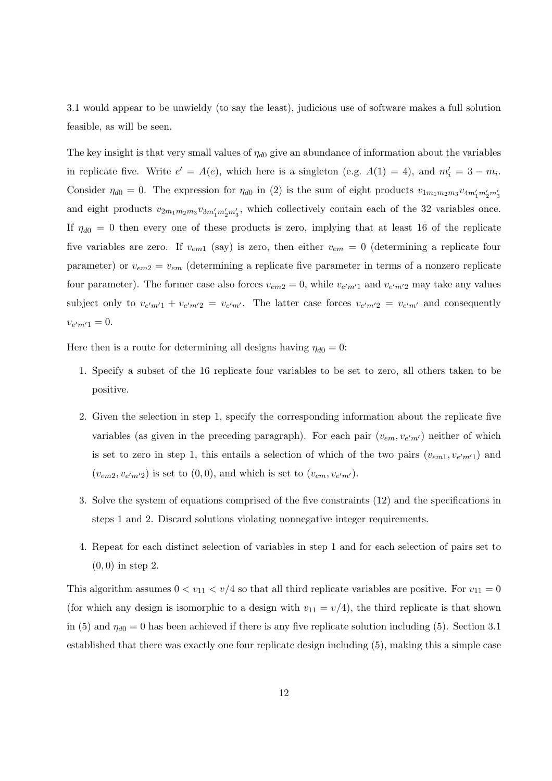3.1 would appear to be unwieldy (to say the least), judicious use of software makes a full solution feasible, as will be seen.

The key insight is that very small values of  $\eta_{d0}$  give an abundance of information about the variables in replicate five. Write  $e' = A(e)$ , which here is a singleton (e.g.  $A(1) = 4$ ), and  $m'_i = 3 - m_i$ . Consider  $\eta_{d0} = 0$ . The expression for  $\eta_{d0}$  in (2) is the sum of eight products  $v_{1m_1m_2m_3}v_{4m'_1m'_2m'_3}$ and eight products  $v_{2m_1m_2m_3}v_{3m'_1m'_2m'_3}$ , which collectively contain each of the 32 variables once. If  $\eta_{d0} = 0$  then every one of these products is zero, implying that at least 16 of the replicate five variables are zero. If  $v_{em1}$  (say) is zero, then either  $v_{em} = 0$  (determining a replicate four parameter) or  $v_{em2} = v_{em}$  (determining a replicate five parameter in terms of a nonzero replicate four parameter). The former case also forces  $v_{em2} = 0$ , while  $v_{e'm'1}$  and  $v_{e'm'2}$  may take any values subject only to  $v_{e'm'1} + v_{e'm'2} = v_{e'm'}$ . The latter case forces  $v_{e'm'2} = v_{e'm'}$  and consequently  $v_{e'm'1} = 0.$ 

Here then is a route for determining all designs having  $\eta_{d0} = 0$ :

- 1. Specify a subset of the 16 replicate four variables to be set to zero, all others taken to be positive.
- 2. Given the selection in step 1, specify the corresponding information about the replicate five variables (as given in the preceding paragraph). For each pair  $(v_{em}, v_{e'm'})$  neither of which is set to zero in step 1, this entails a selection of which of the two pairs  $(v_{em1}, v_{e'm'1})$  and  $(v_{em2}, v_{e'm'2})$  is set to  $(0, 0)$ , and which is set to  $(v_{em}, v_{e'm'})$ .
- 3. Solve the system of equations comprised of the five constraints (12) and the specifications in steps 1 and 2. Discard solutions violating nonnegative integer requirements.
- 4. Repeat for each distinct selection of variables in step 1 and for each selection of pairs set to  $(0, 0)$  in step 2.

This algorithm assumes  $0 < v_{11} < v/4$  so that all third replicate variables are positive. For  $v_{11} = 0$ (for which any design is isomorphic to a design with  $v_{11} = v/4$ ), the third replicate is that shown in (5) and  $\eta_{d0} = 0$  has been achieved if there is any five replicate solution including (5). Section 3.1 established that there was exactly one four replicate design including (5), making this a simple case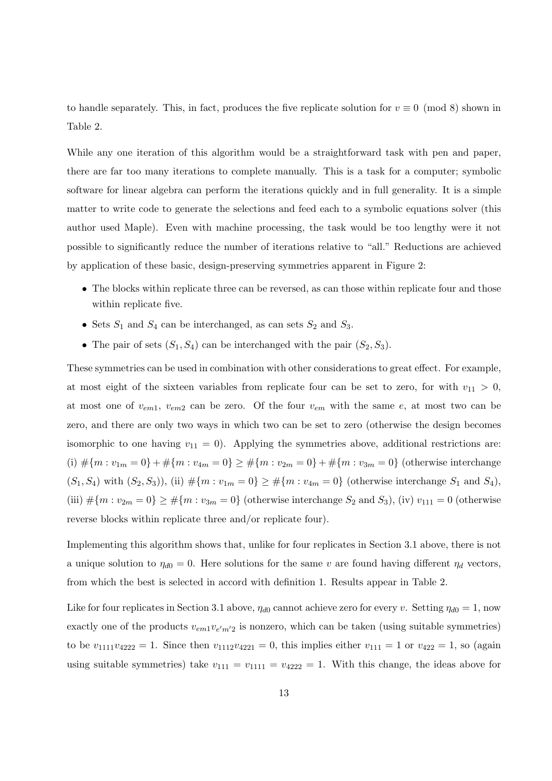to handle separately. This, in fact, produces the five replicate solution for  $v \equiv 0 \pmod{8}$  shown in Table 2.

While any one iteration of this algorithm would be a straightforward task with pen and paper, there are far too many iterations to complete manually. This is a task for a computer; symbolic software for linear algebra can perform the iterations quickly and in full generality. It is a simple matter to write code to generate the selections and feed each to a symbolic equations solver (this author used Maple). Even with machine processing, the task would be too lengthy were it not possible to significantly reduce the number of iterations relative to "all." Reductions are achieved by application of these basic, design-preserving symmetries apparent in Figure 2:

- The blocks within replicate three can be reversed, as can those within replicate four and those within replicate five.
- Sets  $S_1$  and  $S_4$  can be interchanged, as can sets  $S_2$  and  $S_3$ .
- The pair of sets  $(S_1, S_4)$  can be interchanged with the pair  $(S_2, S_3)$ .

These symmetries can be used in combination with other considerations to great effect. For example, at most eight of the sixteen variables from replicate four can be set to zero, for with  $v_{11} > 0$ , at most one of  $v_{em1}$ ,  $v_{em2}$  can be zero. Of the four  $v_{em}$  with the same  $e$ , at most two can be zero, and there are only two ways in which two can be set to zero (otherwise the design becomes isomorphic to one having  $v_{11} = 0$ ). Applying the symmetries above, additional restrictions are: (i)  $\#\{m : v_{1m} = 0\} + \#\{m : v_{4m} = 0\} \ge \#\{m : v_{2m} = 0\} + \#\{m : v_{3m} = 0\}$  (otherwise interchange  $(S_1, S_4)$  with  $(S_2, S_3)$ , (ii)  $\#\{m : v_{1m} = 0\} \ge \#\{m : v_{4m} = 0\}$  (otherwise interchange  $S_1$  and  $S_4$ ), (iii)  $\#\{m : v_{2m} = 0\} \ge \#\{m : v_{3m} = 0\}$  (otherwise interchange  $S_2$  and  $S_3$ ), (iv)  $v_{111} = 0$  (otherwise reverse blocks within replicate three and/or replicate four).

Implementing this algorithm shows that, unlike for four replicates in Section 3.1 above, there is not a unique solution to  $\eta_{d0} = 0$ . Here solutions for the same v are found having different  $\eta_d$  vectors, from which the best is selected in accord with definition 1. Results appear in Table 2.

Like for four replicates in Section 3.1 above,  $\eta_{d0}$  cannot achieve zero for every v. Setting  $\eta_{d0} = 1$ , now exactly one of the products  $v_{em1}v_{e'm'2}$  is nonzero, which can be taken (using suitable symmetries) to be  $v_{1111}v_{4222} = 1$ . Since then  $v_{1112}v_{4221} = 0$ , this implies either  $v_{111} = 1$  or  $v_{422} = 1$ , so (again using suitable symmetries) take  $v_{111} = v_{1111} = v_{4222} = 1$ . With this change, the ideas above for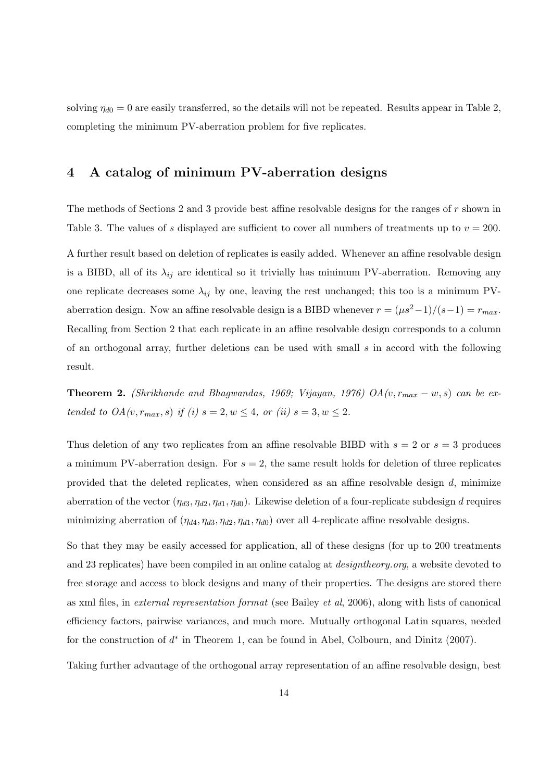solving  $\eta_{d0} = 0$  are easily transferred, so the details will not be repeated. Results appear in Table 2, completing the minimum PV-aberration problem for five replicates.

## 4 A catalog of minimum PV-aberration designs

The methods of Sections 2 and 3 provide best affine resolvable designs for the ranges of  $r$  shown in Table 3. The values of s displayed are sufficient to cover all numbers of treatments up to  $v = 200$ . A further result based on deletion of replicates is easily added. Whenever an affine resolvable design is a BIBD, all of its  $\lambda_{ij}$  are identical so it trivially has minimum PV-aberration. Removing any one replicate decreases some  $\lambda_{ij}$  by one, leaving the rest unchanged; this too is a minimum PVaberration design. Now an affine resolvable design is a BIBD whenever  $r = (\mu s^2 - 1)/(s-1) = r_{max}$ . Recalling from Section 2 that each replicate in an affine resolvable design corresponds to a column of an orthogonal array, further deletions can be used with small  $s$  in accord with the following result.

**Theorem 2.** (Shrikhande and Bhagwandas, 1969; Vijayan, 1976) OA $(v, r_{max} - w, s)$  can be extended to  $OA(v, r_{max}, s)$  if (i)  $s = 2, w \leq 4$ , or (ii)  $s = 3, w \leq 2$ .

Thus deletion of any two replicates from an affine resolvable BIBD with  $s = 2$  or  $s = 3$  produces a minimum PV-aberration design. For  $s = 2$ , the same result holds for deletion of three replicates provided that the deleted replicates, when considered as an affine resolvable design  $d$ , minimize aberration of the vector  $(\eta_{d3}, \eta_{d2}, \eta_{d1}, \eta_{d0})$ . Likewise deletion of a four-replicate subdesign d requires minimizing aberration of  $(\eta_{d4}, \eta_{d3}, \eta_{d2}, \eta_{d1}, \eta_{d0})$  over all 4-replicate affine resolvable designs.

So that they may be easily accessed for application, all of these designs (for up to 200 treatments and 23 replicates) have been compiled in an online catalog at designtheory.org, a website devoted to free storage and access to block designs and many of their properties. The designs are stored there as xml files, in external representation format (see Bailey et al, 2006), along with lists of canonical efficiency factors, pairwise variances, and much more. Mutually orthogonal Latin squares, needed for the construction of  $d^*$  in Theorem 1, can be found in Abel, Colbourn, and Dinitz (2007).

Taking further advantage of the orthogonal array representation of an affine resolvable design, best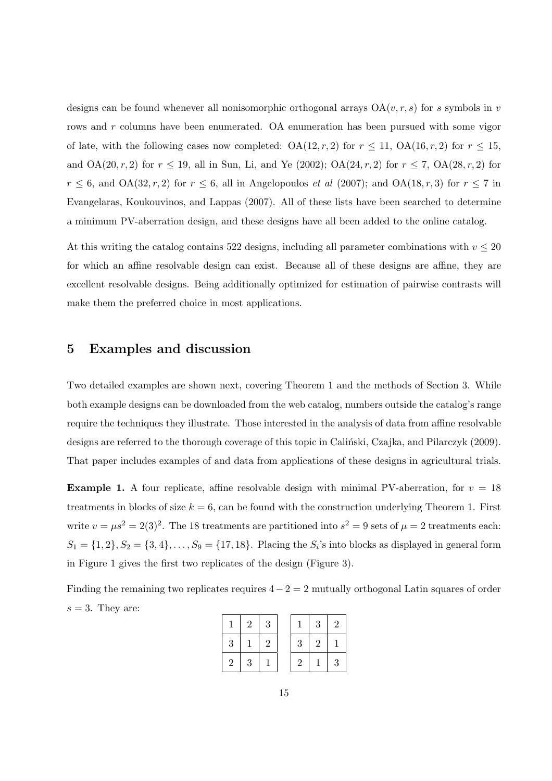designs can be found whenever all nonisomorphic orthogonal arrays  $OA(v, r, s)$  for s symbols in v rows and r columns have been enumerated. OA enumeration has been pursued with some vigor of late, with the following cases now completed:  $OA(12, r, 2)$  for  $r \le 11$ ,  $OA(16, r, 2)$  for  $r \le 15$ , and  $OA(20, r, 2)$  for  $r \le 19$ , all in Sun, Li, and Ye (2002);  $OA(24, r, 2)$  for  $r \le 7$ ,  $OA(28, r, 2)$  for  $r \leq 6$ , and OA(32, r, 2) for  $r \leq 6$ , all in Angelopoulos *et al* (2007); and OA(18, r, 3) for  $r \leq 7$  in Evangelaras, Koukouvinos, and Lappas (2007). All of these lists have been searched to determine a minimum PV-aberration design, and these designs have all been added to the online catalog.

At this writing the catalog contains 522 designs, including all parameter combinations with  $v \leq 20$ for which an affine resolvable design can exist. Because all of these designs are affine, they are excellent resolvable designs. Being additionally optimized for estimation of pairwise contrasts will make them the preferred choice in most applications.

## 5 Examples and discussion

Two detailed examples are shown next, covering Theorem 1 and the methods of Section 3. While both example designs can be downloaded from the web catalog, numbers outside the catalog's range require the techniques they illustrate. Those interested in the analysis of data from affine resolvable designs are referred to the thorough coverage of this topic in Calintiski, Czajka, and Pilarczyk (2009). That paper includes examples of and data from applications of these designs in agricultural trials.

**Example 1.** A four replicate, affine resolvable design with minimal PV-aberration, for  $v = 18$ treatments in blocks of size  $k = 6$ , can be found with the construction underlying Theorem 1. First write  $v = \mu s^2 = 2(3)^2$ . The 18 treatments are partitioned into  $s^2 = 9$  sets of  $\mu = 2$  treatments each:  $S_1 = \{1, 2\}, S_2 = \{3, 4\}, \ldots, S_9 = \{17, 18\}.$  Placing the  $S_i$ 's into blocks as displayed in general form in Figure 1 gives the first two replicates of the design (Figure 3).

Finding the remaining two replicates requires  $4 - 2 = 2$  mutually orthogonal Latin squares of order  $s = 3$ . They are:

|   | 2 | 3                |   | 3              | $\overline{2}$ |
|---|---|------------------|---|----------------|----------------|
| 3 |   | $\boldsymbol{2}$ | 3 | $\overline{2}$ |                |
| 2 | 3 |                  | 2 |                | 3              |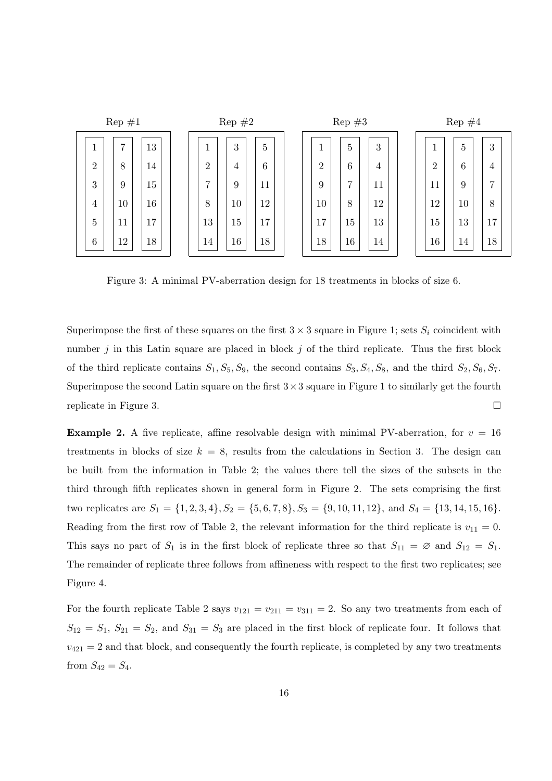

Figure 3: A minimal PV-aberration design for 18 treatments in blocks of size 6.

Superimpose the first of these squares on the first  $3 \times 3$  square in Figure 1; sets  $S_i$  coincident with number  $j$  in this Latin square are placed in block  $j$  of the third replicate. Thus the first block of the third replicate contains  $S_1, S_5, S_9$ , the second contains  $S_3, S_4, S_8$ , and the third  $S_2, S_6, S_7$ . Superimpose the second Latin square on the first  $3 \times 3$  square in Figure 1 to similarly get the fourth replicate in Figure 3.

**Example 2.** A five replicate, affine resolvable design with minimal PV-aberration, for  $v = 16$ treatments in blocks of size  $k = 8$ , results from the calculations in Section 3. The design can be built from the information in Table 2; the values there tell the sizes of the subsets in the third through fifth replicates shown in general form in Figure 2. The sets comprising the first two replicates are  $S_1 = \{1, 2, 3, 4\}, S_2 = \{5, 6, 7, 8\}, S_3 = \{9, 10, 11, 12\}, \text{ and } S_4 = \{13, 14, 15, 16\}.$ Reading from the first row of Table 2, the relevant information for the third replicate is  $v_{11} = 0$ . This says no part of  $S_1$  is in the first block of replicate three so that  $S_{11} = \emptyset$  and  $S_{12} = S_1$ . The remainder of replicate three follows from affineness with respect to the first two replicates; see Figure 4.

For the fourth replicate Table 2 says  $v_{121} = v_{211} = v_{311} = 2$ . So any two treatments from each of  $S_{12} = S_1, S_{21} = S_2$ , and  $S_{31} = S_3$  are placed in the first block of replicate four. It follows that  $v_{421} = 2$  and that block, and consequently the fourth replicate, is completed by any two treatments from  $S_{42} = S_4$ .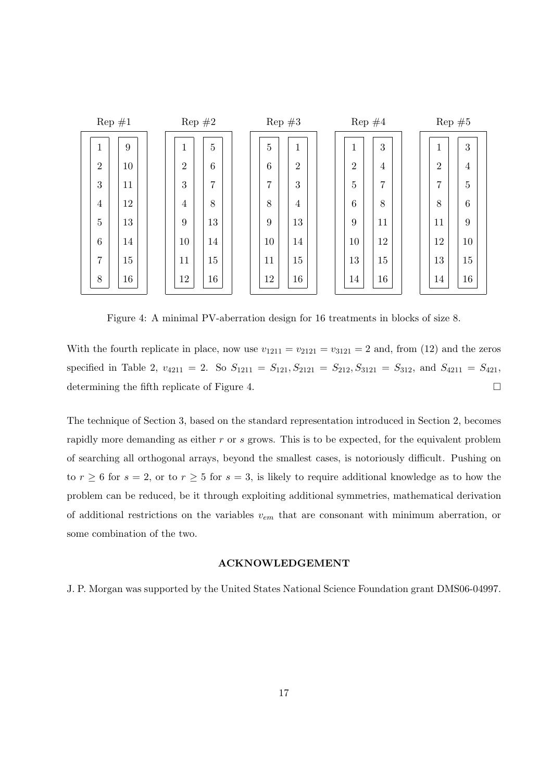|                | $\text{Rep } \#1$ | $\text{Rep } \#2$ |                | $\text{Rep } \#3$ |                |  | $\text{Rep }#4$ |                |  | $\text{Rep } \#5$ |                |  |
|----------------|-------------------|-------------------|----------------|-------------------|----------------|--|-----------------|----------------|--|-------------------|----------------|--|
| 1              | 9                 | 1                 | $\overline{5}$ | 5                 | $\mathbf{1}$   |  | 1               | 3              |  | 1                 | 3              |  |
| $\overline{2}$ | 10                | $\overline{2}$    | 6              | 6                 | $\overline{2}$ |  | $\overline{2}$  | $\overline{4}$ |  | $\overline{2}$    | $\overline{4}$ |  |
| 3              | 11                | 3                 | $\overline{7}$ | 7                 | 3              |  | $\overline{5}$  | 7              |  | 7                 | 5              |  |
| $\overline{4}$ | 12                | $\overline{4}$    | 8              | 8                 | $\overline{4}$ |  | $6\phantom{.}6$ | 8              |  | 8                 | 6              |  |
| 5              | 13                | 9                 | 13             | 9                 | 13             |  | 9               | 11             |  | 11                | 9              |  |
| 6              | 14                | 10                | 14             | 10                | 14             |  | 10              | 12             |  | 12                | 10             |  |
| $\overline{7}$ | 15                | 11                | 15             | 11                | 15             |  | 13              | 15             |  | 13                | 15             |  |
| 8              | 16                | 12                | 16             | 12                | 16             |  | 14              | 16             |  | 14                | 16             |  |

Figure 4: A minimal PV-aberration design for 16 treatments in blocks of size 8.

With the fourth replicate in place, now use  $v_{1211} = v_{2121} = v_{3121} = 2$  and, from (12) and the zeros specified in Table 2,  $v_{4211} = 2$ . So  $S_{1211} = S_{121}$ ,  $S_{2121} = S_{212}$ ,  $S_{3121} = S_{312}$ , and  $S_{4211} = S_{421}$ , determining the fifth replicate of Figure 4.

The technique of Section 3, based on the standard representation introduced in Section 2, becomes rapidly more demanding as either r or s grows. This is to be expected, for the equivalent problem of searching all orthogonal arrays, beyond the smallest cases, is notoriously difficult. Pushing on to  $r \ge 6$  for  $s = 2$ , or to  $r \ge 5$  for  $s = 3$ , is likely to require additional knowledge as to how the problem can be reduced, be it through exploiting additional symmetries, mathematical derivation of additional restrictions on the variables  $v_{em}$  that are consonant with minimum aberration, or some combination of the two.

#### ACKNOWLEDGEMENT

J. P. Morgan was supported by the United States National Science Foundation grant DMS06-04997.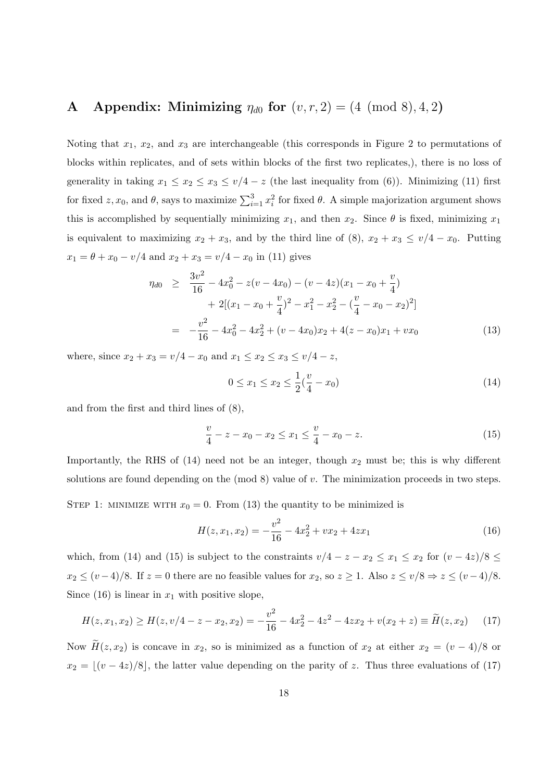# A Appendix: Minimizing  $\eta_{d0}$  for  $(v, r, 2) = (4 \pmod{8}, 4, 2)$

Noting that  $x_1, x_2$ , and  $x_3$  are interchangeable (this corresponds in Figure 2 to permutations of blocks within replicates, and of sets within blocks of the first two replicates,), there is no loss of generality in taking  $x_1 \le x_2 \le x_3 \le v/4 - z$  (the last inequality from (6)). Minimizing (11) first for fixed  $z, x_0$ , and  $\theta$ , says to maximize  $\sum_{i=1}^3 x_i^2$  for fixed  $\theta$ . A simple majorization argument shows this is accomplished by sequentially minimizing  $x_1$ , and then  $x_2$ . Since  $\theta$  is fixed, minimizing  $x_1$ is equivalent to maximizing  $x_2 + x_3$ , and by the third line of (8),  $x_2 + x_3 \le v/4 - x_0$ . Putting  $x_1 = \theta + x_0 - v/4$  and  $x_2 + x_3 = v/4 - x_0$  in (11) gives

$$
\eta_{d0} \geq \frac{3v^2}{16} - 4x_0^2 - z(v - 4x_0) - (v - 4z)(x_1 - x_0 + \frac{v}{4}) \n+ 2[(x_1 - x_0 + \frac{v}{4})^2 - x_1^2 - x_2^2 - (\frac{v}{4} - x_0 - x_2)^2] \n= -\frac{v^2}{16} - 4x_0^2 - 4x_2^2 + (v - 4x_0)x_2 + 4(z - x_0)x_1 + vx_0
$$
\n(13)

where, since  $x_2 + x_3 = v/4 - x_0$  and  $x_1 \le x_2 \le x_3 \le v/4 - z$ ,

$$
0 \le x_1 \le x_2 \le \frac{1}{2}(\frac{v}{4} - x_0) \tag{14}
$$

and from the first and third lines of (8),

$$
\frac{v}{4} - z - x_0 - x_2 \le x_1 \le \frac{v}{4} - x_0 - z.
$$
\n(15)

Importantly, the RHS of  $(14)$  need not be an integer, though  $x_2$  must be; this is why different solutions are found depending on the  $(mod 8)$  value of  $v$ . The minimization proceeds in two steps.

STEP 1: MINIMIZE WITH  $x_0 = 0$ . From (13) the quantity to be minimized is

$$
H(z, x_1, x_2) = -\frac{v^2}{16} - 4x_2^2 + vx_2 + 4zx_1
$$
\n(16)

which, from (14) and (15) is subject to the constraints  $v/4 - z - x_2 \le x_1 \le x_2$  for  $(v - 4z)/8 \le$  $x_2 \le (v-4)/8$ . If  $z = 0$  there are no feasible values for  $x_2$ , so  $z \ge 1$ . Also  $z \le (v/8 \Rightarrow z \le (v-4)/8$ . Since (16) is linear in  $x_1$  with positive slope,

$$
H(z, x_1, x_2) \ge H(z, v/4 - z - x_2, x_2) = -\frac{v^2}{16} - 4x_2^2 - 4z^2 - 4zx_2 + v(x_2 + z) \equiv \widetilde{H}(z, x_2)
$$
 (17)

Now  $\widetilde{H}(z, x_2)$  is concave in  $x_2$ , so is minimized as a function of  $x_2$  at either  $x_2 = (v - 4)/8$  or  $x_2 = \lfloor (v - 4z)/8 \rfloor$ , the latter value depending on the parity of z. Thus three evaluations of (17)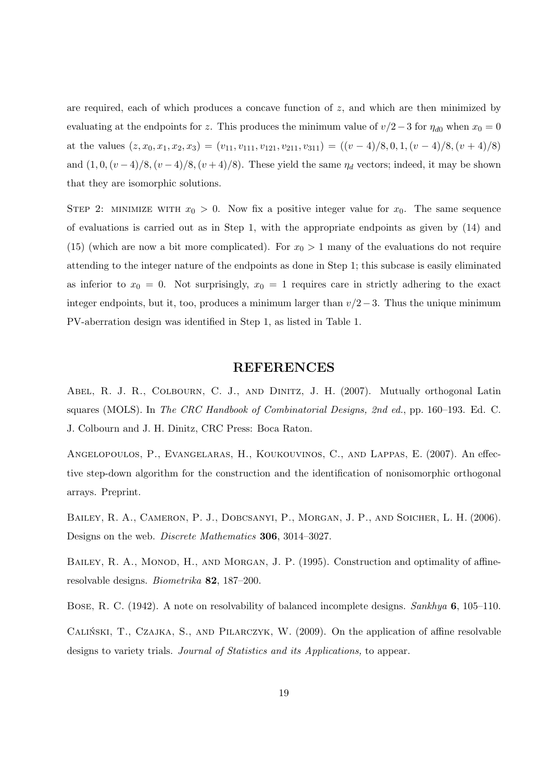are required, each of which produces a concave function of  $z$ , and which are then minimized by evaluating at the endpoints for z. This produces the minimum value of  $v/2-3$  for  $\eta_{d0}$  when  $x_0 = 0$ at the values  $(z, x_0, x_1, x_2, x_3) = (v_{11}, v_{111}, v_{121}, v_{211}, v_{311}) = ((v - 4)/8, 0, 1, (v - 4)/8, (v + 4)/8)$ and  $(1, 0, (v-4)/8, (v-4)/8, (v+4)/8)$ . These yield the same  $\eta_d$  vectors; indeed, it may be shown that they are isomorphic solutions.

STEP 2: MINIMIZE WITH  $x_0 > 0$ . Now fix a positive integer value for  $x_0$ . The same sequence of evaluations is carried out as in Step 1, with the appropriate endpoints as given by (14) and (15) (which are now a bit more complicated). For  $x_0 > 1$  many of the evaluations do not require attending to the integer nature of the endpoints as done in Step 1; this subcase is easily eliminated as inferior to  $x_0 = 0$ . Not surprisingly,  $x_0 = 1$  requires care in strictly adhering to the exact integer endpoints, but it, too, produces a minimum larger than  $v/2-3$ . Thus the unique minimum PV-aberration design was identified in Step 1, as listed in Table 1.

#### REFERENCES

ABEL, R. J. R., COLBOURN, C. J., AND DINITZ, J. H. (2007). Mutually orthogonal Latin squares (MOLS). In The CRC Handbook of Combinatorial Designs, 2nd ed., pp. 160–193. Ed. C. J. Colbourn and J. H. Dinitz, CRC Press: Boca Raton.

Angelopoulos, P., Evangelaras, H., Koukouvinos, C., and Lappas, E. (2007). An effective step-down algorithm for the construction and the identification of nonisomorphic orthogonal arrays. Preprint.

BAILEY, R. A., CAMERON, P. J., DOBCSANYI, P., MORGAN, J. P., AND SOICHER, L. H. (2006). Designs on the web. Discrete Mathematics 306, 3014–3027.

BAILEY, R. A., MONOD, H., AND MORGAN, J. P. (1995). Construction and optimality of affineresolvable designs. Biometrika 82, 187–200.

Bose, R. C. (1942). A note on resolvability of balanced incomplete designs. Sankhya 6, 105–110.

CALINSKI, T., CZAJKA, S., AND PILARCZYK, W. (2009). On the application of affine resolvable designs to variety trials. Journal of Statistics and its Applications, to appear.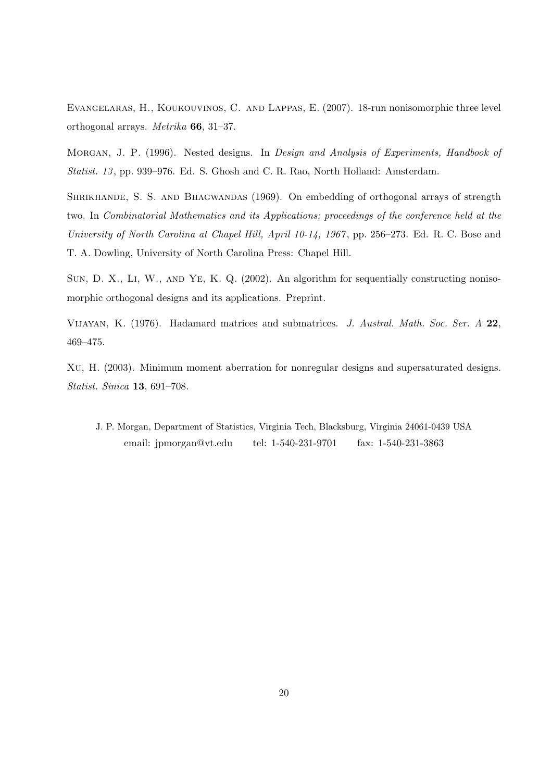Evangelaras, H., Koukouvinos, C. and Lappas, E. (2007). 18-run nonisomorphic three level orthogonal arrays. Metrika 66, 31–37.

MORGAN, J. P. (1996). Nested designs. In *Design and Analysis of Experiments, Handbook of* Statist. 13 , pp. 939–976. Ed. S. Ghosh and C. R. Rao, North Holland: Amsterdam.

SHRIKHANDE, S. S. AND BHAGWANDAS (1969). On embedding of orthogonal arrays of strength two. In Combinatorial Mathematics and its Applications; proceedings of the conference held at the University of North Carolina at Chapel Hill, April 10-14, 1967, pp. 256–273. Ed. R. C. Bose and T. A. Dowling, University of North Carolina Press: Chapel Hill.

SUN, D. X., LI, W., AND YE, K. Q. (2002). An algorithm for sequentially constructing nonisomorphic orthogonal designs and its applications. Preprint.

Vijayan, K. (1976). Hadamard matrices and submatrices. J. Austral. Math. Soc. Ser. A 22, 469–475.

Xu, H. (2003). Minimum moment aberration for nonregular designs and supersaturated designs. Statist. Sinica 13, 691–708.

J. P. Morgan, Department of Statistics, Virginia Tech, Blacksburg, Virginia 24061-0439 USA email: jpmorgan@vt.edu tel: 1-540-231-9701 fax: 1-540-231-3863